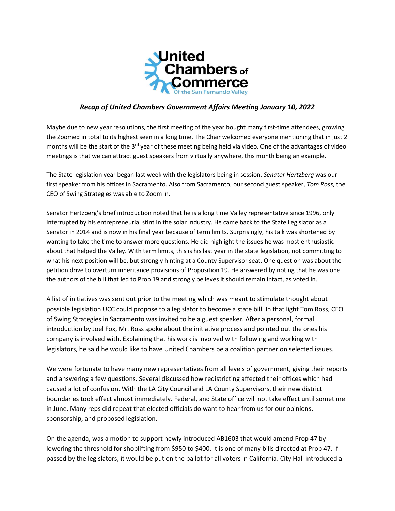

## *Recap of United Chambers Government Affairs Meeting January 10, 2022*

Maybe due to new year resolutions, the first meeting of the year bought many first-time attendees, growing the Zoomed in total to its highest seen in a long time. The Chair welcomed everyone mentioning that in just 2 months will be the start of the 3<sup>rd</sup> year of these meeting being held via video. One of the advantages of video meetings is that we can attract guest speakers from virtually anywhere, this month being an example.

The State legislation year began last week with the legislators being in session. *Senator Hertzberg* was our first speaker from his offices in Sacramento. Also from Sacramento, our second guest speaker, *Tom Ross*, the CEO of Swing Strategies was able to Zoom in.

Senator Hertzberg's brief introduction noted that he is a long time Valley representative since 1996, only interrupted by his entrepreneurial stint in the solar industry. He came back to the State Legislator as a Senator in 2014 and is now in his final year because of term limits. Surprisingly, his talk was shortened by wanting to take the time to answer more questions. He did highlight the issues he was most enthusiastic about that helped the Valley. With term limits, this is his last year in the state legislation, not committing to what his next position will be, but strongly hinting at a County Supervisor seat. One question was about the petition drive to overturn inheritance provisions of Proposition 19. He answered by noting that he was one the authors of the bill that led to Prop 19 and strongly believes it should remain intact, as voted in.

A list of initiatives was sent out prior to the meeting which was meant to stimulate thought about possible legislation UCC could propose to a legislator to become a state bill. In that light Tom Ross, CEO of Swing Strategies in Sacramento was invited to be a guest speaker. After a personal, formal introduction by Joel Fox, Mr. Ross spoke about the initiative process and pointed out the ones his company is involved with. Explaining that his work is involved with following and working with legislators, he said he would like to have United Chambers be a coalition partner on selected issues.

We were fortunate to have many new representatives from all levels of government, giving their reports and answering a few questions. Several discussed how redistricting affected their offices which had caused a lot of confusion. With the LA City Council and LA County Supervisors, their new district boundaries took effect almost immediately. Federal, and State office will not take effect until sometime in June. Many reps did repeat that elected officials do want to hear from us for our opinions, sponsorship, and proposed legislation.

On the agenda, was a motion to support newly introduced AB1603 that would amend Prop 47 by lowering the threshold for shoplifting from \$950 to \$400. It is one of many bills directed at Prop 47. If passed by the legislators, it would be put on the ballot for all voters in California. City Hall introduced a